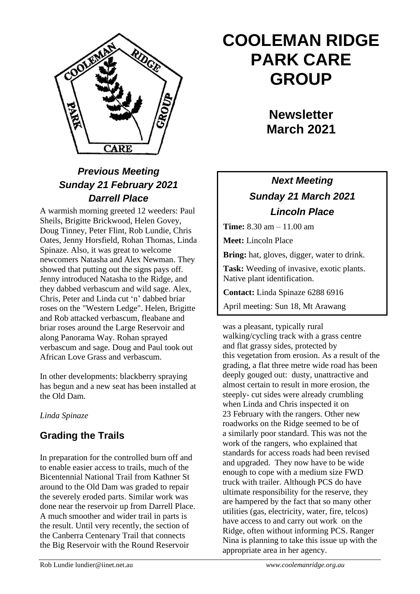

# *Previous Meeting Sunday 21 February 2021 Darrell Place*

A warmish morning greeted 12 weeders: Paul Sheils, Brigitte Brickwood, Helen Govey, Doug Tinney, Peter Flint, Rob Lundie, Chris Oates, Jenny Horsfield, Rohan Thomas, Linda Spinaze. Also, it was great to welcome newcomers Natasha and Alex Newman. They showed that putting out the signs pays off. Jenny introduced Natasha to the Ridge, and they dabbed verbascum and wild sage. Alex, Chris, Peter and Linda cut 'n' dabbed briar roses on the "Western Ledge". Helen, Brigitte and Rob attacked verbascum, fleabane and briar roses around the Large Reservoir and along Panorama Way. Rohan sprayed verbascum and sage. Doug and Paul took out African Love Grass and verbascum.

In other developments: blackberry spraying has begun and a new seat has been installed at the Old Dam.

#### *Linda Spinaze*

## **Grading the Trails**

In preparation for the controlled burn off and to enable easier access to trails, much of the Bicentennial National Trail from Kathner St around to the Old Dam was graded to repair the severely eroded parts. Similar work was done near the reservoir up from Darrell Place. A much smoother and wider trail in parts is the result. Until very recently, the section of the Canberra Centenary Trail that connects the Big Reservoir with the Round Reservoir

# **COOLEMAN RIDGE PARK CARE GROUP**

**Newsletter March 2021** 

# *Next Meeting Sunday 21 March 2021 Lincoln Place*

**Time:** 8.30 am – 11.00 am

**Meet:** Lincoln Place

**Bring:** hat, gloves, digger, water to drink.

**Task:** Weeding of invasive, exotic plants. Native plant identification.

**Contact:** Linda Spinaze 6288 6916

April meeting: Sun 18, Mt Arawang

was a pleasant, typically rural walking/cycling track with a grass centre and flat grassy sides, protected by this vegetation from erosion. As a result of the grading, a flat three metre wide road has been deeply gouged out: dusty, unattractive and almost certain to result in more erosion, the steeply- cut sides were already crumbling when Linda and Chris inspected it on 23 February with the rangers. Other new roadworks on the Ridge seemed to be of a similarly poor standard. This was not the work of the rangers, who explained that standards for access roads had been revised and upgraded. They now have to be wide enough to cope with a medium size FWD truck with trailer. Although PCS do have ultimate responsibility for the reserve, they are hampered by the fact that so many other utilities (gas, electricity, water, fire, telcos) have access to and carry out work on the Ridge, often without informing PCS. Ranger Nina is planning to take this issue up with the appropriate area in her agency.